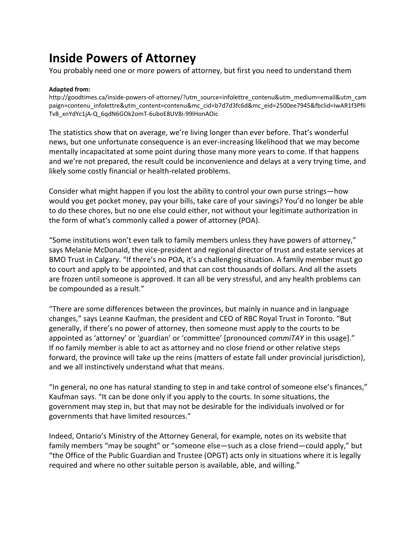## **Inside Powers of Attorney**

You probably need one or more powers of attorney, but first you need to understand them

## **Adapted from:**

[http://goodtimes.ca/inside-powers-of-attorney/?utm\\_source=infolettre\\_contenu&utm\\_medium=email&utm\\_cam](http://goodtimes.ca/inside-powers-of-attorney/?utm_source=infolettre_contenu&utm_medium=email&utm_campaign=contenu_infolettre&utm_content=contenu&mc_cid=b7d7d3fc6d&mc_eid=2500ee7945&fbclid=IwAR1f3PfliTv8_xnYdYc1jA-Q_6qdN6GOk2omT-6uboE8UV8i-99lHonAOic) [paign=contenu\\_infolettre&utm\\_content=contenu&mc\\_cid=b7d7d3fc6d&mc\\_eid=2500ee7945&fbclid=IwAR1f3Pfli](http://goodtimes.ca/inside-powers-of-attorney/?utm_source=infolettre_contenu&utm_medium=email&utm_campaign=contenu_infolettre&utm_content=contenu&mc_cid=b7d7d3fc6d&mc_eid=2500ee7945&fbclid=IwAR1f3PfliTv8_xnYdYc1jA-Q_6qdN6GOk2omT-6uboE8UV8i-99lHonAOic) [Tv8\\_xnYdYc1jA-Q\\_6qdN6GOk2omT-6uboE8UV8i-99lHonAOic](http://goodtimes.ca/inside-powers-of-attorney/?utm_source=infolettre_contenu&utm_medium=email&utm_campaign=contenu_infolettre&utm_content=contenu&mc_cid=b7d7d3fc6d&mc_eid=2500ee7945&fbclid=IwAR1f3PfliTv8_xnYdYc1jA-Q_6qdN6GOk2omT-6uboE8UV8i-99lHonAOic)

The statistics show that on average, we're living longer than ever before. That's wonderful news, but one unfortunate consequence is an ever-increasing likelihood that we may become mentally incapacitated at some point during those many more years to come. If that happens and we're not prepared, the result could be inconvenience and delays at a very trying time, and likely some costly financial or health-related problems.

Consider what might happen if you lost the ability to control your own purse strings—how would you get pocket money, pay your bills, take care of your savings? You'd no longer be able to do these chores, but no one else could either, not without your legitimate authorization in the form of what's commonly called a power of attorney (POA).

"Some institutions won't even talk to family members unless they have powers of attorney," says Melanie McDonald, the vice-president and regional director of trust and estate services at BMO Trust in Calgary. "If there's no POA, it's a challenging situation. A family member must go to court and apply to be appointed, and that can cost thousands of dollars. And all the assets are frozen until someone is approved. It can all be very stressful, and any health problems can be compounded as a result."

"There are some differences between the provinces, but mainly in nuance and in language changes," says Leanne Kaufman, the president and CEO of RBC Royal Trust in Toronto. "But generally, if there's no power of attorney, then someone must apply to the courts to be appointed as 'attorney' or 'guardian' or 'committee' [pronounced *commiTAY* in this usage]." If no family member is able to act as attorney and no close friend or other relative steps forward, the province will take up the reins (matters of estate fall under provincial jurisdiction), and we all instinctively understand what that means.

"In general, no one has natural standing to step in and take control of someone else's finances," Kaufman says. "It can be done only if you apply to the courts. In some situations, the government may step in, but that may not be desirable for the individuals involved or for governments that have limited resources."

Indeed, Ontario's Ministry of the Attorney General, for example, notes on its website that family members "may be sought" or "someone else—such as a close friend—could apply," but "the Office of the Public Guardian and Trustee (OPGT) acts only in situations where it is legally required and where no other suitable person is available, able, and willing."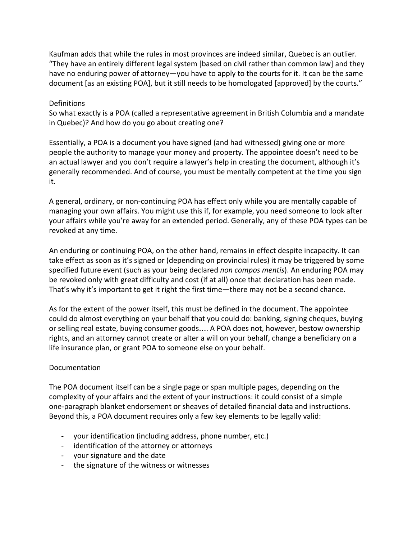Kaufman adds that while the rules in most provinces are indeed similar, Quebec is an outlier. "They have an entirely different legal system [based on civil rather than common law] and they have no enduring power of attorney—you have to apply to the courts for it. It can be the same document [as an existing POA], but it still needs to be homologated [approved] by the courts."

## **Definitions**

So what exactly is a POA (called a representative agreement in British Columbia and a mandate in Quebec)? And how do you go about creating one?

Essentially, a POA is a document you have signed (and had witnessed) giving one or more people the authority to manage your money and property. The appointee doesn't need to be an actual lawyer and you don't require a lawyer's help in creating the document, although it's generally recommended. And of course, you must be mentally competent at the time you sign it.

A general, ordinary, or non-continuing POA has effect only while you are mentally capable of managing your own affairs. You might use this if, for example, you need someone to look after your affairs while you're away for an extended period. Generally, any of these POA types can be revoked at any time.

An enduring or continuing POA, on the other hand, remains in effect despite incapacity. It can take effect as soon as it's signed or (depending on provincial rules) it may be triggered by some specified future event (such as your being declared *non compos mentis*). An enduring POA may be revoked only with great difficulty and cost (if at all) once that declaration has been made. That's why it's important to get it right the first time—there may not be a second chance.

As for the extent of the power itself, this must be defined in the document. The appointee could do almost everything on your behalf that you could do: banking, signing cheques, buying or selling real estate, buying consumer goods…. A POA does not, however, bestow ownership rights, and an attorney cannot create or alter a will on your behalf, change a beneficiary on a life insurance plan, or grant POA to someone else on your behalf.

## Documentation

The POA document itself can be a single page or span multiple pages, depending on the complexity of your affairs and the extent of your instructions: it could consist of a simple one-paragraph blanket endorsement or sheaves of detailed financial data and instructions. Beyond this, a POA document requires only a few key elements to be legally valid:

- your identification (including address, phone number, etc.)
- identification of the attorney or attorneys
- your signature and the date
- the signature of the witness or witnesses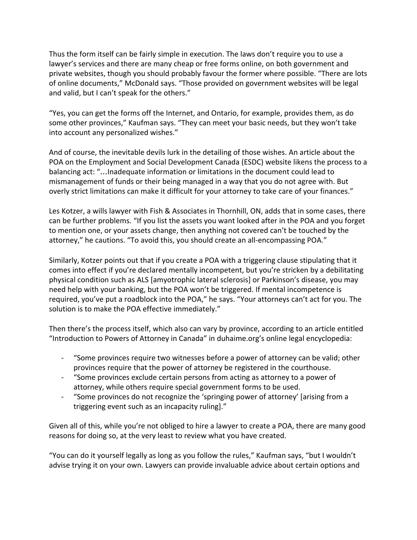Thus the form itself can be fairly simple in execution. The laws don't require you to use a lawyer's services and there are many cheap or free forms online, on both government and private websites, though you should probably favour the former where possible. "There are lots of online documents," McDonald says. "Those provided on government websites will be legal and valid, but I can't speak for the others."

"Yes, you can get the forms off the Internet, and Ontario, for example, provides them, as do some other provinces," Kaufman says. "They can meet your basic needs, but they won't take into account any personalized wishes."

And of course, the inevitable devils lurk in the detailing of those wishes. An article about the POA on the Employment and Social Development Canada (ESDC) website likens the process to a balancing act: "…Inadequate information or limitations in the document could lead to mismanagement of funds or their being managed in a way that you do not agree with. But overly strict limitations can make it difficult for your attorney to take care of your finances."

Les Kotzer, a wills lawyer with Fish & Associates in Thornhill, ON, adds that in some cases, there can be further problems. "If you list the assets you want looked after in the POA and you forget to mention one, or your assets change, then anything not covered can't be touched by the attorney," he cautions. "To avoid this, you should create an all-encompassing POA."

Similarly, Kotzer points out that if you create a POA with a triggering clause stipulating that it comes into effect if you're declared mentally incompetent, but you're stricken by a debilitating physical condition such as ALS [amyotrophic lateral sclerosis] or Parkinson's disease, you may need help with your banking, but the POA won't be triggered. If mental incompetence is required, you've put a roadblock into the POA," he says. "Your attorneys can't act for you. The solution is to make the POA effective immediately."

Then there's the process itself, which also can vary by province, according to an article entitled "Introduction to Powers of Attorney in Canada" in duhaime.org's online legal encyclopedia:

- "Some provinces require two witnesses before a power of attorney can be valid; other provinces require that the power of attorney be registered in the courthouse.
- "Some provinces exclude certain persons from acting as attorney to a power of attorney, while others require special government forms to be used.
- "Some provinces do not recognize the 'springing power of attorney' [arising from a triggering event such as an incapacity ruling]."

Given all of this, while you're not obliged to hire a lawyer to create a POA, there are many good reasons for doing so, at the very least to review what you have created.

"You can do it yourself legally as long as you follow the rules," Kaufman says, "but I wouldn't advise trying it on your own. Lawyers can provide invaluable advice about certain options and